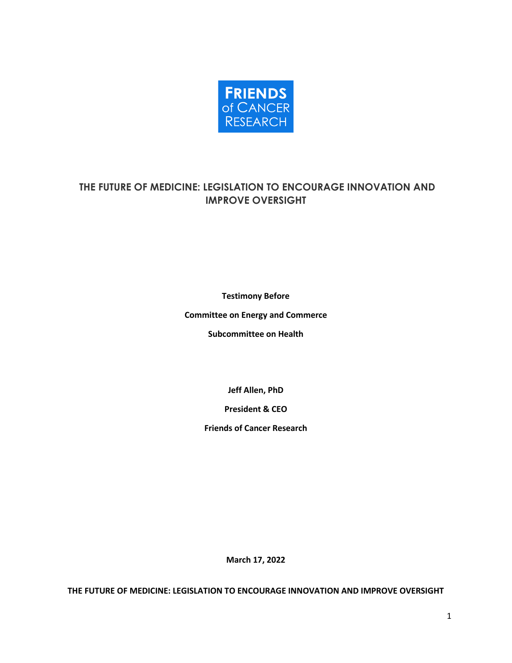

# **THE FUTURE OF MEDICINE: LEGISLATION TO ENCOURAGE INNOVATION AND IMPROVE OVERSIGHT**

**Testimony Before** 

**Committee on Energy and Commerce**

**Subcommittee on Health** 

**Jeff Allen, PhD**

**President & CEO**

**Friends of Cancer Research**

**March 17, 2022**

**THE FUTURE OF MEDICINE: LEGISLATION TO ENCOURAGE INNOVATION AND IMPROVE OVERSIGHT**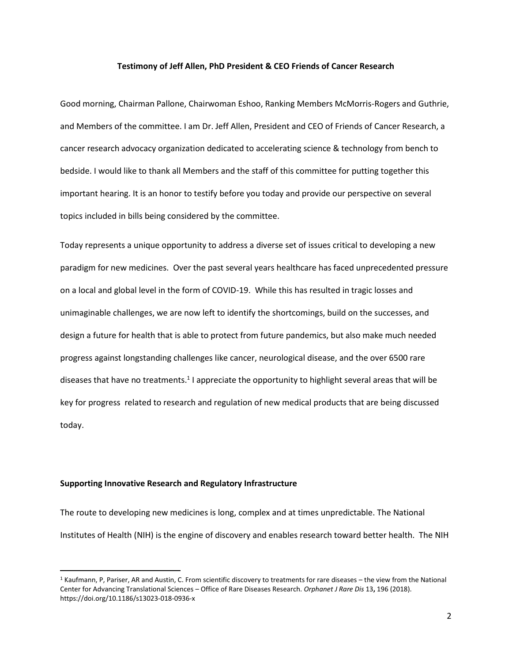#### **Testimony of Jeff Allen, PhD President & CEO Friends of Cancer Research**

Good morning, Chairman Pallone, Chairwoman Eshoo, Ranking Members McMorris-Rogers and Guthrie, and Members of the committee. I am Dr. Jeff Allen, President and CEO of Friends of Cancer Research, a cancer research advocacy organization dedicated to accelerating science & technology from bench to bedside. I would like to thank all Members and the staff of this committee for putting together this important hearing. It is an honor to testify before you today and provide our perspective on several topics included in bills being considered by the committee.

Today represents a unique opportunity to address a diverse set of issues critical to developing a new paradigm for new medicines. Over the past several years healthcare has faced unprecedented pressure on a local and global level in the form of COVID-19. While this has resulted in tragic losses and unimaginable challenges, we are now left to identify the shortcomings, build on the successes, and design a future for health that is able to protect from future pandemics, but also make much needed progress against longstanding challenges like cancer, neurological disease, and the over 6500 rare diseases that have no treatments.<sup>1</sup> I appreciate the opportunity to highlight several areas that will be key for progress related to research and regulation of new medical products that are being discussed today.

## **Supporting Innovative Research and Regulatory Infrastructure**

The route to developing new medicines is long, complex and at times unpredictable. The National Institutes of Health (NIH) is the engine of discovery and enables research toward better health. The NIH

<sup>1</sup> Kaufmann, P, Pariser, AR and Austin, C. From scientific discovery to treatments for rare diseases – the view from the National Center for Advancing Translational Sciences – Office of Rare Diseases Research. *Orphanet J Rare Dis* 13**,** 196 (2018). https://doi.org/10.1186/s13023-018-0936-x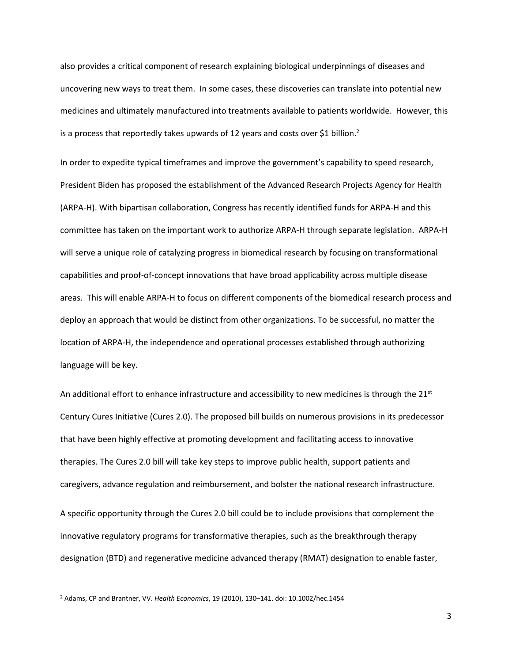also provides a critical component of research explaining biological underpinnings of diseases and uncovering new ways to treat them. In some cases, these discoveries can translate into potential new medicines and ultimately manufactured into treatments available to patients worldwide. However, this is a process that reportedly takes upwards of 12 years and costs over \$1 billion.<sup>2</sup>

In order to expedite typical timeframes and improve the government's capability to speed research, President Biden has proposed the establishment of the Advanced Research Projects Agency for Health (ARPA-H). With bipartisan collaboration, Congress has recently identified funds for ARPA-H and this committee has taken on the important work to authorize ARPA-H through separate legislation. ARPA-H will serve a unique role of catalyzing progress in biomedical research by focusing on transformational capabilities and proof-of-concept innovations that have broad applicability across multiple disease areas. This will enable ARPA-H to focus on different components of the biomedical research process and deploy an approach that would be distinct from other organizations. To be successful, no matter the location of ARPA-H, the independence and operational processes established through authorizing language will be key.

An additional effort to enhance infrastructure and accessibility to new medicines is through the  $21^{st}$ Century Cures Initiative (Cures 2.0). The proposed bill builds on numerous provisions in its predecessor that have been highly effective at promoting development and facilitating access to innovative therapies. The Cures 2.0 bill will take key steps to improve public health, support patients and caregivers, advance regulation and reimbursement, and bolster the national research infrastructure. A specific opportunity through the Cures 2.0 bill could be to include provisions that complement the innovative regulatory programs for transformative therapies, such as the breakthrough therapy designation (BTD) and regenerative medicine advanced therapy (RMAT) designation to enable faster,

<sup>2</sup> Adams, CP and Brantner, VV. *Health Economics*, 19 (2010), 130–141. doi: 10.1002/hec.1454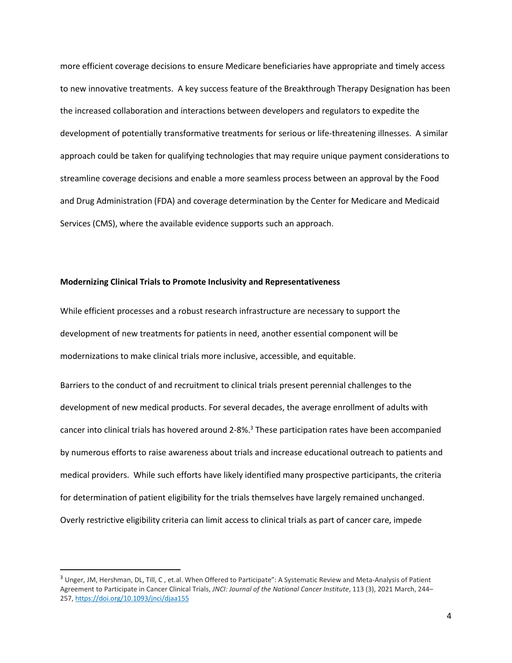more efficient coverage decisions to ensure Medicare beneficiaries have appropriate and timely access to new innovative treatments. A key success feature of the Breakthrough Therapy Designation has been the increased collaboration and interactions between developers and regulators to expedite the development of potentially transformative treatments for serious or life-threatening illnesses. A similar approach could be taken for qualifying technologies that may require unique payment considerations to streamline coverage decisions and enable a more seamless process between an approval by the Food and Drug Administration (FDA) and coverage determination by the Center for Medicare and Medicaid Services (CMS), where the available evidence supports such an approach.

## **Modernizing Clinical Trials to Promote Inclusivity and Representativeness**

While efficient processes and a robust research infrastructure are necessary to support the development of new treatments for patients in need, another essential component will be modernizations to make clinical trials more inclusive, accessible, and equitable.

Barriers to the conduct of and recruitment to clinical trials present perennial challenges to the development of new medical products. For several decades, the average enrollment of adults with cancer into clinical trials has hovered around  $2-8\%$ .<sup>3</sup> These participation rates have been accompanied by numerous efforts to raise awareness about trials and increase educational outreach to patients and medical providers. While such efforts have likely identified many prospective participants, the criteria for determination of patient eligibility for the trials themselves have largely remained unchanged. Overly restrictive eligibility criteria can limit access to clinical trials as part of cancer care, impede

<sup>&</sup>lt;sup>3</sup> Unger, JM, Hershman, DL, Till, C, et.al. When Offered to Participate": A Systematic Review and Meta-Analysis of Patient Agreement to Participate in Cancer Clinical Trials, *JNCI: Journal of the National Cancer Institute*, 113 (3), 2021 March, 244– 257, <https://doi.org/10.1093/jnci/djaa155>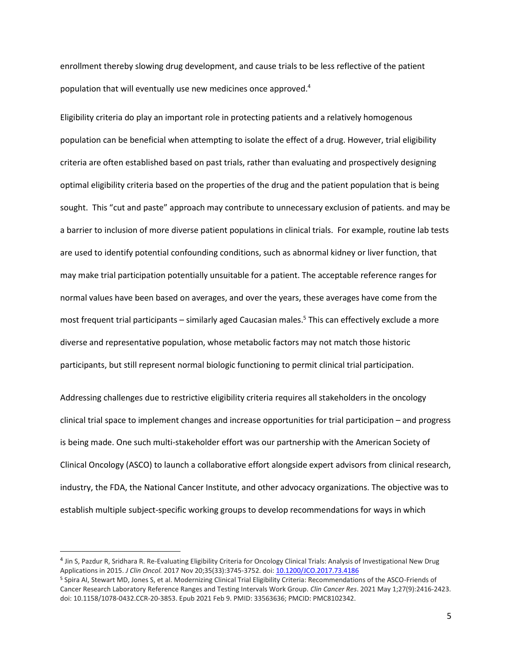enrollment thereby slowing drug development, and cause trials to be less reflective of the patient population that will eventually use new medicines once approved.<sup>4</sup>

Eligibility criteria do play an important role in protecting patients and a relatively homogenous population can be beneficial when attempting to isolate the effect of a drug. However, trial eligibility criteria are often established based on past trials, rather than evaluating and prospectively designing optimal eligibility criteria based on the properties of the drug and the patient population that is being sought. This "cut and paste" approach may contribute to unnecessary exclusion of patients. and may be a barrier to inclusion of more diverse patient populations in clinical trials. For example, routine lab tests are used to identify potential confounding conditions, such as abnormal kidney or liver function, that may make trial participation potentially unsuitable for a patient. The acceptable reference ranges for normal values have been based on averages, and over the years, these averages have come from the most frequent trial participants – similarly aged Caucasian males. <sup>5</sup> This can effectively exclude a more diverse and representative population, whose metabolic factors may not match those historic participants, but still represent normal biologic functioning to permit clinical trial participation.

Addressing challenges due to restrictive eligibility criteria requires all stakeholders in the oncology clinical trial space to implement changes and increase opportunities for trial participation – and progress is being made. One such multi-stakeholder effort was our partnership with the American Society of Clinical Oncology (ASCO) to launch a collaborative effort alongside expert advisors from clinical research, industry, the FDA, the National Cancer Institute, and other advocacy organizations. The objective was to establish multiple subject-specific working groups to develop recommendations for ways in which

<sup>&</sup>lt;sup>4</sup> Jin S, Pazdur R, Sridhara R. Re-Evaluating Eligibility Criteria for Oncology Clinical Trials: Analysis of Investigational New Drug Applications in 2015. *J Clin Oncol.* 2017 Nov 20;35(33):3745-3752. doi[: 10.1200/JCO.2017.73.4186](https://ascopubs.org/doi/10.1200/JCO.2017.73.4186)

<sup>5</sup> Spira AI, Stewart MD, Jones S, et al. Modernizing Clinical Trial Eligibility Criteria: Recommendations of the ASCO-Friends of Cancer Research Laboratory Reference Ranges and Testing Intervals Work Group. *Clin Cancer Res*. 2021 May 1;27(9):2416-2423. doi: 10.1158/1078-0432.CCR-20-3853. Epub 2021 Feb 9. PMID: 33563636; PMCID: PMC8102342.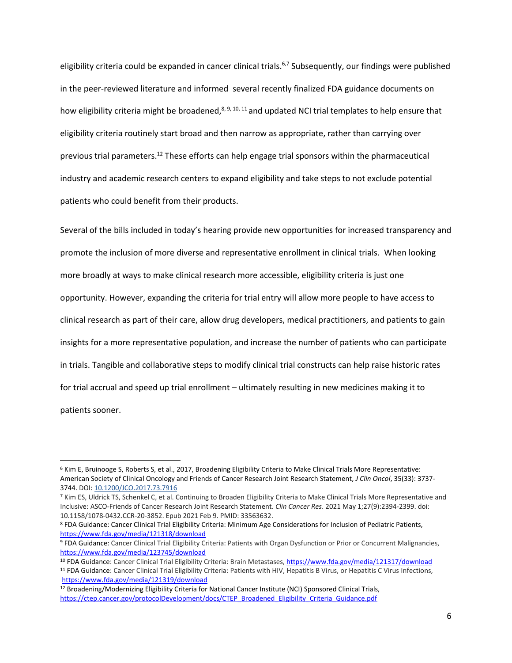eligibility criteria could be expanded in cancer clinical trials.<sup>6,7</sup> Subsequently, our findings were published in the peer-reviewed literature and informed several recently finalized FDA guidance documents on how eligibility criteria might be broadened,<sup>8, 9, 10, 11</sup> and updated NCI trial templates to help ensure that eligibility criteria routinely start broad and then narrow as appropriate, rather than carrying over previous trial parameters.<sup>12</sup> These efforts can help engage trial sponsors within the pharmaceutical industry and academic research centers to expand eligibility and take steps to not exclude potential patients who could benefit from their products.

Several of the bills included in today's hearing provide new opportunities for increased transparency and promote the inclusion of more diverse and representative enrollment in clinical trials. When looking more broadly at ways to make clinical research more accessible, eligibility criteria is just one opportunity. However, expanding the criteria for trial entry will allow more people to have access to clinical research as part of their care, allow drug developers, medical practitioners, and patients to gain insights for a more representative population, and increase the number of patients who can participate in trials. Tangible and collaborative steps to modify clinical trial constructs can help raise historic rates for trial accrual and speed up trial enrollment – ultimately resulting in new medicines making it to patients sooner.

<sup>6</sup> Kim E, Bruinooge S, Roberts S, et al., 2017, Broadening Eligibility Criteria to Make Clinical Trials More Representative: American Society of Clinical Oncology and Friends of Cancer Research Joint Research Statement, *J Clin Oncol*, 35(33): 3737- 3744. DOI: [10.1200/JCO.2017.73.7916](https://doi.org/10.1200/jco.2017.73.7916)

<sup>7</sup> Kim ES, Uldrick TS, Schenkel C, et al. Continuing to Broaden Eligibility Criteria to Make Clinical Trials More Representative and Inclusive: ASCO-Friends of Cancer Research Joint Research Statement. *Clin Cancer Res*. 2021 May 1;27(9):2394-2399. doi: 10.1158/1078-0432.CCR-20-3852. Epub 2021 Feb 9. PMID: 33563632.

<sup>8</sup> FDA Guidance: Cancer Clinical Trial Eligibility Criteria: Minimum Age Considerations for Inclusion of Pediatric Patients, <https://www.fda.gov/media/121318/download>

<sup>9</sup> FDA Guidance: Cancer Clinical Trial Eligibility Criteria: Patients with Organ Dysfunction or Prior or Concurrent Malignancies, <https://www.fda.gov/media/123745/download>

<sup>10</sup> FDA Guidance: Cancer Clinical Trial Eligibility Criteria: Brain Metastases, <https://www.fda.gov/media/121317/download>

<sup>&</sup>lt;sup>11</sup> FDA Guidance: Cancer Clinical Trial Eligibility Criteria: Patients with HIV, Hepatitis B Virus, or Hepatitis C Virus Infections, <https://www.fda.gov/media/121319/download>

<sup>12</sup> Broadening/Modernizing Eligibility Criteria for National Cancer Institute (NCI) Sponsored Clinical Trials, [https://ctep.cancer.gov/protocolDevelopment/docs/CTEP\\_Broadened\\_Eligibility\\_Criteria\\_Guidance.pdf](https://ctep.cancer.gov/protocolDevelopment/docs/CTEP_Broadened_Eligibility_Criteria_Guidance.pdf)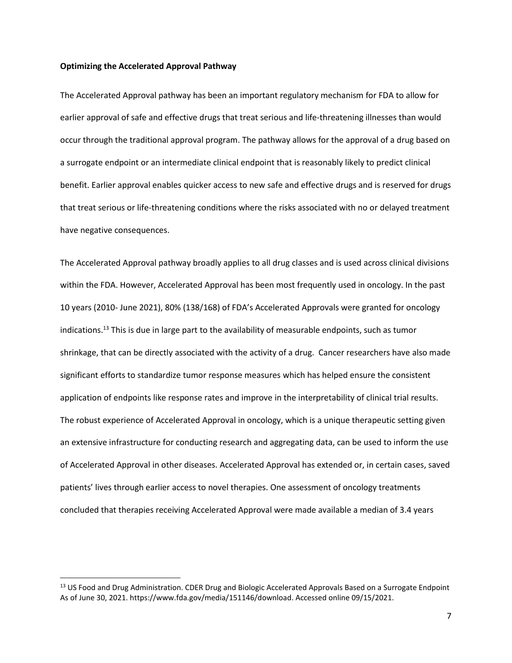#### **Optimizing the Accelerated Approval Pathway**

The Accelerated Approval pathway has been an important regulatory mechanism for FDA to allow for earlier approval of safe and effective drugs that treat serious and life-threatening illnesses than would occur through the traditional approval program. The pathway allows for the approval of a drug based on a surrogate endpoint or an intermediate clinical endpoint that is reasonably likely to predict clinical benefit. Earlier approval enables quicker access to new safe and effective drugs and is reserved for drugs that treat serious or life-threatening conditions where the risks associated with no or delayed treatment have negative consequences.

The Accelerated Approval pathway broadly applies to all drug classes and is used across clinical divisions within the FDA. However, Accelerated Approval has been most frequently used in oncology. In the past 10 years (2010- June 2021), 80% (138/168) of FDA's Accelerated Approvals were granted for oncology indications.<sup>13</sup> This is due in large part to the availability of measurable endpoints, such as tumor shrinkage, that can be directly associated with the activity of a drug. Cancer researchers have also made significant efforts to standardize tumor response measures which has helped ensure the consistent application of endpoints like response rates and improve in the interpretability of clinical trial results. The robust experience of Accelerated Approval in oncology, which is a unique therapeutic setting given an extensive infrastructure for conducting research and aggregating data, can be used to inform the use of Accelerated Approval in other diseases. Accelerated Approval has extended or, in certain cases, saved patients' lives through earlier access to novel therapies. One assessment of oncology treatments concluded that therapies receiving Accelerated Approval were made available a median of 3.4 years

<sup>&</sup>lt;sup>13</sup> US Food and Drug Administration. CDER Drug and Biologic Accelerated Approvals Based on a Surrogate Endpoint As of June 30, 2021. https://www.fda.gov/media/151146/download. Accessed online 09/15/2021.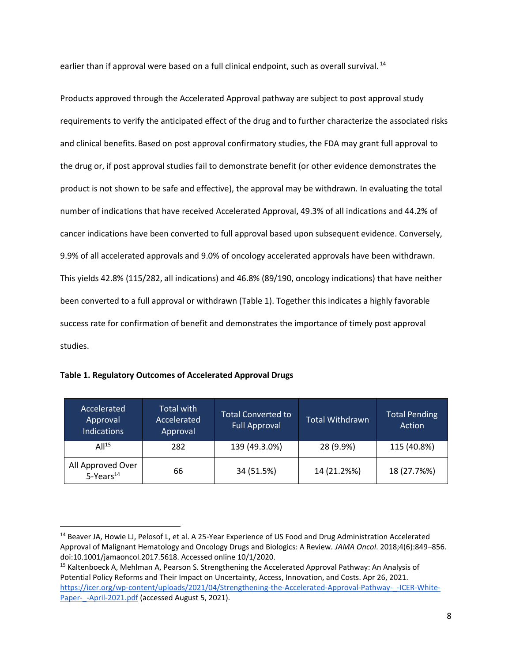earlier than if approval were based on a full clinical endpoint, such as overall survival.<sup>14</sup>

Products approved through the Accelerated Approval pathway are subject to post approval study requirements to verify the anticipated effect of the drug and to further characterize the associated risks and clinical benefits. Based on post approval confirmatory studies, the FDA may grant full approval to the drug or, if post approval studies fail to demonstrate benefit (or other evidence demonstrates the product is not shown to be safe and effective), the approval may be withdrawn. In evaluating the total number of indications that have received Accelerated Approval, 49.3% of all indications and 44.2% of cancer indications have been converted to full approval based upon subsequent evidence. Conversely, 9.9% of all accelerated approvals and 9.0% of oncology accelerated approvals have been withdrawn. This yields 42.8% (115/282, all indications) and 46.8% (89/190, oncology indications) that have neither been converted to a full approval or withdrawn (Table 1). Together this indicates a highly favorable success rate for confirmation of benefit and demonstrates the importance of timely post approval studies.

| Accelerated<br>Approval<br><b>Indications</b> | Total with<br>Accelerated<br>Approval | <b>Total Converted to</b><br><b>Full Approval</b> | <b>Total Withdrawn</b> | <b>Total Pending</b><br>Action |
|-----------------------------------------------|---------------------------------------|---------------------------------------------------|------------------------|--------------------------------|
| All <sup>15</sup>                             | 282                                   | 139 (49.3.0%)                                     | 28 (9.9%)              | 115 (40.8%)                    |
| All Approved Over<br>5-Years <sup>14</sup>    | 66                                    | 34 (51.5%)                                        | 14 (21.2%%)            | 18 (27.7%%)                    |

| Table 1. Regulatory Outcomes of Accelerated Approval Drugs |  |  |  |
|------------------------------------------------------------|--|--|--|
|------------------------------------------------------------|--|--|--|

<sup>&</sup>lt;sup>14</sup> Beaver JA, Howie LJ, Pelosof L, et al. A 25-Year Experience of US Food and Drug Administration Accelerated Approval of Malignant Hematology and Oncology Drugs and Biologics: A Review. *JAMA Oncol*. 2018;4(6):849–856. doi:10.1001/jamaoncol.2017.5618. Accessed online 10/1/2020.

<sup>&</sup>lt;sup>15</sup> Kaltenboeck A, Mehlman A, Pearson S. Strengthening the Accelerated Approval Pathway: An Analysis of Potential Policy Reforms and Their Impact on Uncertainty, Access, Innovation, and Costs. Apr 26, 2021[.](https://icer.org/wp-content/uploads/2021/04/Strengthening-the-Accelerated-Approval-Pathway-_-ICER-White-Paper-_-April-2021.pdf) https://icer.org/wp-content/uploads/2021/04/Strengthening-the-Accelerated-Approval-Pathway- -ICER-White-[Paper-\\_-April-2021.pdf](https://icer.org/wp-content/uploads/2021/04/Strengthening-the-Accelerated-Approval-Pathway-_-ICER-White-Paper-_-April-2021.pdf) (accessed August 5, 2021).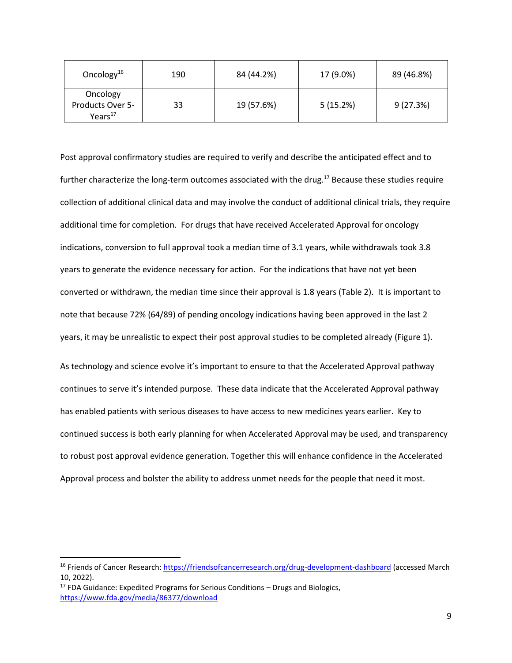| Oncology <sup>16</sup>                                     | 190 | 84 (44.2%) | 17 (9.0%) | 89 (46.8%) |
|------------------------------------------------------------|-----|------------|-----------|------------|
| Oncology<br><b>Products Over 5-</b><br>Years <sup>17</sup> | 33  | 19 (57.6%) | 5(15.2%)  | 9(27.3%)   |

Post approval confirmatory studies are required to verify and describe the anticipated effect and to further characterize the long-term outcomes associated with the drug.<sup>17</sup> Because these studies require collection of additional clinical data and may involve the conduct of additional clinical trials, they require additional time for completion. For drugs that have received Accelerated Approval for oncology indications, conversion to full approval took a median time of 3.1 years, while withdrawals took 3.8 years to generate the evidence necessary for action. For the indications that have not yet been converted or withdrawn, the median time since their approval is 1.8 years (Table 2). It is important to note that because 72% (64/89) of pending oncology indications having been approved in the last 2 years, it may be unrealistic to expect their post approval studies to be completed already (Figure 1).

As technology and science evolve it's important to ensure to that the Accelerated Approval pathway continues to serve it's intended purpose. These data indicate that the Accelerated Approval pathway has enabled patients with serious diseases to have access to new medicines years earlier. Key to continued success is both early planning for when Accelerated Approval may be used, and transparency to robust post approval evidence generation. Together this will enhance confidence in the Accelerated Approval process and bolster the ability to address unmet needs for the people that need it most.

<sup>&</sup>lt;sup>16</sup> Friends of Cancer Research:<https://friendsofcancerresearch.org/drug-development-dashboard> (accessed March 10, 2022).

 $17$  FDA Guidance: Expedited Programs for Serious Conditions – Drugs and Biologics, <https://www.fda.gov/media/86377/download>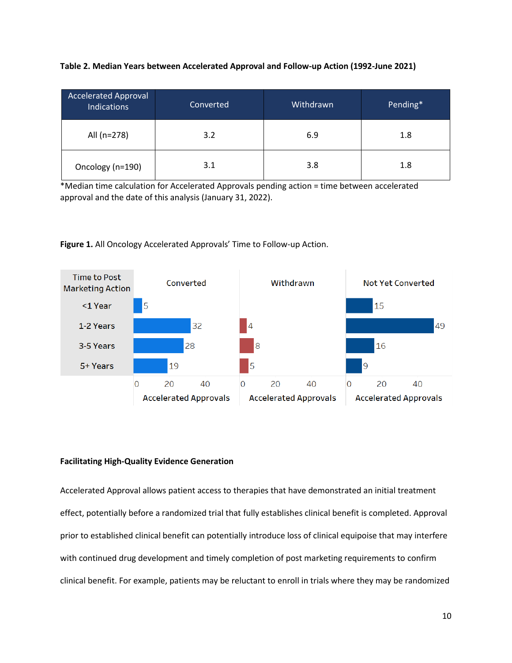| <b>Accelerated Approval</b><br><b>Indications</b> | Converted | Withdrawn | Pending* |
|---------------------------------------------------|-----------|-----------|----------|
| All (n=278)                                       | 3.2       | 6.9       | 1.8      |
| Oncology (n=190)                                  | 3.1       | 3.8       | 1.8      |

\*Median time calculation for Accelerated Approvals pending action = time between accelerated approval and the date of this analysis (January 31, 2022).





## **Facilitating High-Quality Evidence Generation**

Accelerated Approval allows patient access to therapies that have demonstrated an initial treatment effect, potentially before a randomized trial that fully establishes clinical benefit is completed. Approval prior to established clinical benefit can potentially introduce loss of clinical equipoise that may interfere with continued drug development and timely completion of post marketing requirements to confirm clinical benefit. For example, patients may be reluctant to enroll in trials where they may be randomized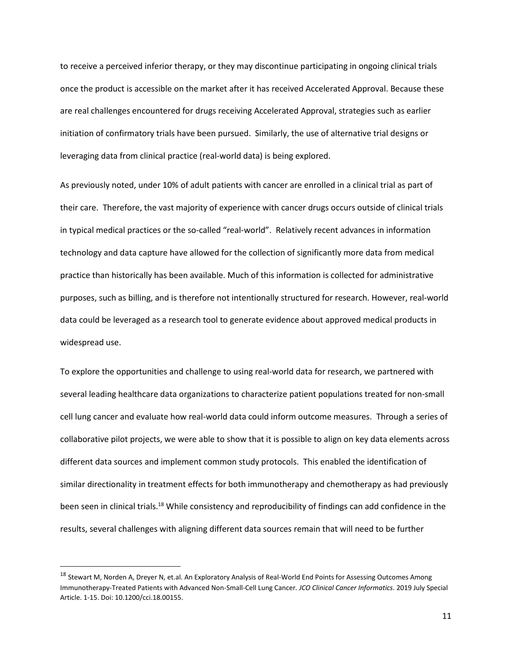to receive a perceived inferior therapy, or they may discontinue participating in ongoing clinical trials once the product is accessible on the market after it has received Accelerated Approval. Because these are real challenges encountered for drugs receiving Accelerated Approval, strategies such as earlier initiation of confirmatory trials have been pursued. Similarly, the use of alternative trial designs or leveraging data from clinical practice (real-world data) is being explored.

As previously noted, under 10% of adult patients with cancer are enrolled in a clinical trial as part of their care. Therefore, the vast majority of experience with cancer drugs occurs outside of clinical trials in typical medical practices or the so-called "real-world". Relatively recent advances in information technology and data capture have allowed for the collection of significantly more data from medical practice than historically has been available. Much of this information is collected for administrative purposes, such as billing, and is therefore not intentionally structured for research. However, real-world data could be leveraged as a research tool to generate evidence about approved medical products in widespread use.

To explore the opportunities and challenge to using real-world data for research, we partnered with several leading healthcare data organizations to characterize patient populations treated for non-small cell lung cancer and evaluate how real-world data could inform outcome measures. Through a series of collaborative pilot projects, we were able to show that it is possible to align on key data elements across different data sources and implement common study protocols. This enabled the identification of similar directionality in treatment effects for both immunotherapy and chemotherapy as had previously been seen in clinical trials.<sup>18</sup> While consistency and reproducibility of findings can add confidence in the results, several challenges with aligning different data sources remain that will need to be further

<sup>&</sup>lt;sup>18</sup> Stewart M, Norden A, Dreyer N, et.al. An Exploratory Analysis of Real-World End Points for Assessing Outcomes Among Immunotherapy-Treated Patients with Advanced Non-Small-Cell Lung Cancer*. JCO Clinical Cancer Informatics*. 2019 July Special Article. 1-15. Doi: 10.1200/cci.18.00155.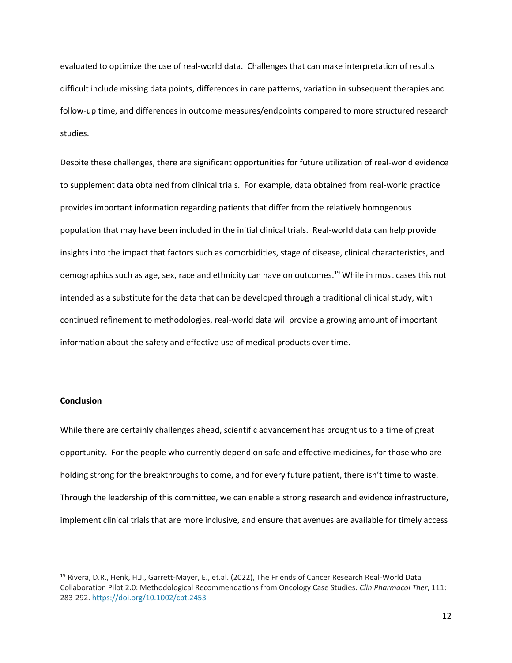evaluated to optimize the use of real-world data. Challenges that can make interpretation of results difficult include missing data points, differences in care patterns, variation in subsequent therapies and follow-up time, and differences in outcome measures/endpoints compared to more structured research studies.

Despite these challenges, there are significant opportunities for future utilization of real-world evidence to supplement data obtained from clinical trials. For example, data obtained from real-world practice provides important information regarding patients that differ from the relatively homogenous population that may have been included in the initial clinical trials. Real-world data can help provide insights into the impact that factors such as comorbidities, stage of disease, clinical characteristics, and demographics such as age, sex, race and ethnicity can have on outcomes.<sup>19</sup> While in most cases this not intended as a substitute for the data that can be developed through a traditional clinical study, with continued refinement to methodologies, real-world data will provide a growing amount of important information about the safety and effective use of medical products over time.

# **Conclusion**

While there are certainly challenges ahead, scientific advancement has brought us to a time of great opportunity. For the people who currently depend on safe and effective medicines, for those who are holding strong for the breakthroughs to come, and for every future patient, there isn't time to waste. Through the leadership of this committee, we can enable a strong research and evidence infrastructure, implement clinical trials that are more inclusive, and ensure that avenues are available for timely access

<sup>19</sup> Rivera, D.R., Henk, H.J., Garrett-Mayer, E., et.al. (2022), The Friends of Cancer Research Real-World Data Collaboration Pilot 2.0: Methodological Recommendations from Oncology Case Studies. *Clin Pharmacol Ther*, 111: 283-292. <https://doi.org/10.1002/cpt.2453>